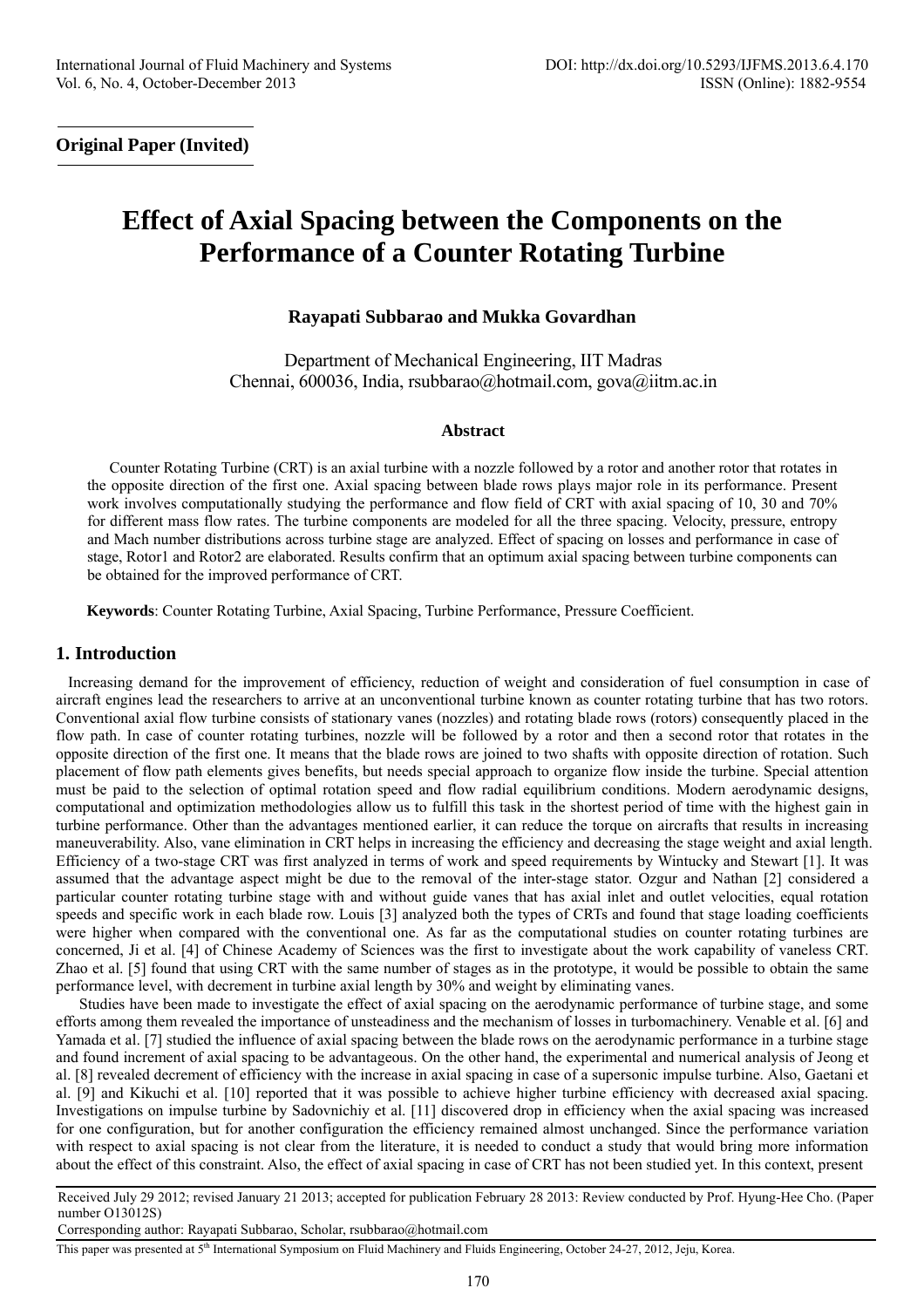**Original Paper (Invited)** 

# **Effect of Axial Spacing between the Components on the Performance of a Counter Rotating Turbine**

# **Rayapati Subbarao and Mukka Govardhan**

Department of Mechanical Engineering, IIT Madras Chennai, 600036, India, rsubbarao@hotmail.com, gova@iitm.ac.in

## **Abstract**

Counter Rotating Turbine (CRT) is an axial turbine with a nozzle followed by a rotor and another rotor that rotates in the opposite direction of the first one. Axial spacing between blade rows plays major role in its performance. Present work involves computationally studying the performance and flow field of CRT with axial spacing of 10, 30 and 70% for different mass flow rates. The turbine components are modeled for all the three spacing. Velocity, pressure, entropy and Mach number distributions across turbine stage are analyzed. Effect of spacing on losses and performance in case of stage, Rotor1 and Rotor2 are elaborated. Results confirm that an optimum axial spacing between turbine components can be obtained for the improved performance of CRT.

**Keywords**: Counter Rotating Turbine, Axial Spacing, Turbine Performance, Pressure Coefficient.

## **1. Introduction**

Increasing demand for the improvement of efficiency, reduction of weight and consideration of fuel consumption in case of aircraft engines lead the researchers to arrive at an unconventional turbine known as counter rotating turbine that has two rotors. Conventional axial flow turbine consists of stationary vanes (nozzles) and rotating blade rows (rotors) consequently placed in the flow path. In case of counter rotating turbines, nozzle will be followed by a rotor and then a second rotor that rotates in the opposite direction of the first one. It means that the blade rows are joined to two shafts with opposite direction of rotation. Such placement of flow path elements gives benefits, but needs special approach to organize flow inside the turbine. Special attention must be paid to the selection of optimal rotation speed and flow radial equilibrium conditions. Modern aerodynamic designs, computational and optimization methodologies allow us to fulfill this task in the shortest period of time with the highest gain in turbine performance. Other than the advantages mentioned earlier, it can reduce the torque on aircrafts that results in increasing maneuverability. Also, vane elimination in CRT helps in increasing the efficiency and decreasing the stage weight and axial length. Efficiency of a two-stage CRT was first analyzed in terms of work and speed requirements by Wintucky and Stewart [1]. It was assumed that the advantage aspect might be due to the removal of the inter-stage stator. Ozgur and Nathan [2] considered a particular counter rotating turbine stage with and without guide vanes that has axial inlet and outlet velocities, equal rotation speeds and specific work in each blade row. Louis [3] analyzed both the types of CRTs and found that stage loading coefficients were higher when compared with the conventional one. As far as the computational studies on counter rotating turbines are concerned, Ji et al. [4] of Chinese Academy of Sciences was the first to investigate about the work capability of vaneless CRT. Zhao et al. [5] found that using CRT with the same number of stages as in the prototype, it would be possible to obtain the same performance level, with decrement in turbine axial length by 30% and weight by eliminating vanes.

Studies have been made to investigate the effect of axial spacing on the aerodynamic performance of turbine stage, and some efforts among them revealed the importance of unsteadiness and the mechanism of losses in turbomachinery. Venable et al. [6] and Yamada et al. [7] studied the influence of axial spacing between the blade rows on the aerodynamic performance in a turbine stage and found increment of axial spacing to be advantageous. On the other hand, the experimental and numerical analysis of Jeong et al. [8] revealed decrement of efficiency with the increase in axial spacing in case of a supersonic impulse turbine. Also, Gaetani et al. [9] and Kikuchi et al. [10] reported that it was possible to achieve higher turbine efficiency with decreased axial spacing. Investigations on impulse turbine by Sadovnichiy et al. [11] discovered drop in efficiency when the axial spacing was increased for one configuration, but for another configuration the efficiency remained almost unchanged. Since the performance variation with respect to axial spacing is not clear from the literature, it is needed to conduct a study that would bring more information about the effect of this constraint. Also, the effect of axial spacing in case of CRT has not been studied yet. In this context, present

Received July 29 2012; revised January 21 2013; accepted for publication February 28 2013: Review conducted by Prof. Hyung-Hee Cho. (Paper number O13012S)

Corresponding author: Rayapati Subbarao, Scholar, rsubbarao@hotmail.com

This paper was presented at 5<sup>th</sup> International Symposium on Fluid Machinery and Fluids Engineering, October 24-27, 2012, Jeju, Korea.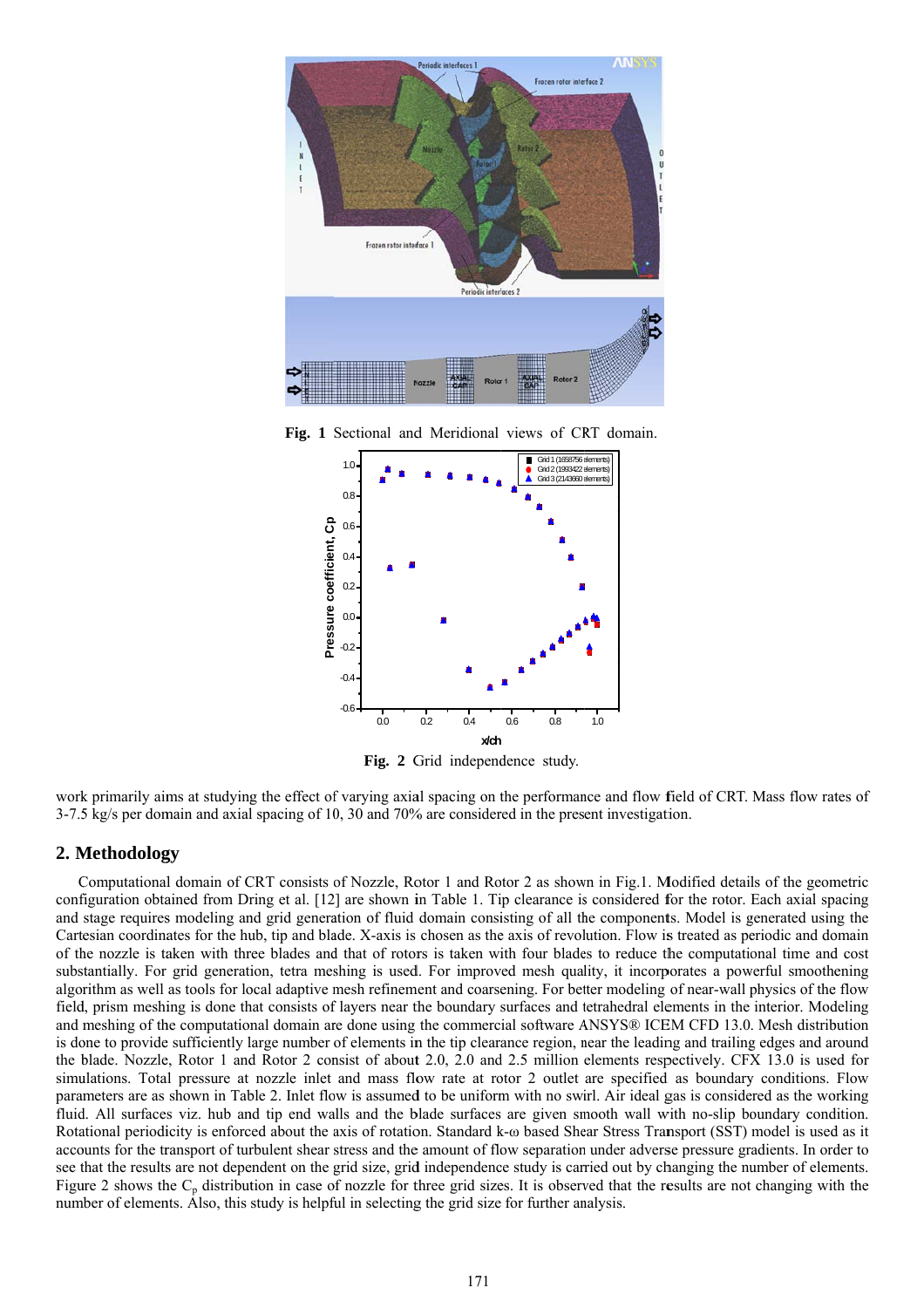

Fig. 1 Sectional and Meridional views of CRT domain.



Fig. 2 Grid independence study.

work primarily aims at studying the effect of varying axial spacing on the performance and flow field of CRT. Mass flow rates of  $3-7.5$  kg/s per domain and axial spacing of 10, 30 and 70% are considered in the present investigation.

## **2. M Methodolog gy**

Computational domain of CRT consists of Nozzle, Rotor 1 and Rotor 2 as shown in Fig.1. Modified details of the geometric configuration obtained from Dring et al. [12] are shown in Table 1. Tip clearance is considered for the rotor. Each axial spacing and stage requires modeling and grid generation of fluid domain consisting of all the components. Model is generated using the Cartesian coordinates for the hub, tip and blade. X-axis is chosen as the axis of revolution. Flow is treated as periodic and domain of the nozzle is taken with three blades and that of rotors is taken with four blades to reduce the computational time and cost substantially. For grid generation, tetra meshing is used. For improved mesh quality, it incorporates a powerful smoothening algorithm as well as tools for local adaptive mesh refinement and coarsening. For better modeling of near-wall physics of the flow field, prism meshing is done that consists of layers near the boundary surfaces and tetrahedral elements in the interior. Modeling and meshing of the computational domain are done using the commercial software ANSYS® ICEM CFD 13.0. Mesh distribution is done to provide sufficiently large number of elements in the tip clearance region, near the leading and trailing edges and around the blade. Nozzle, Rotor 1 and Rotor 2 consist of about 2.0, 2.0 and 2.5 million elements respectively. CFX 13.0 is used for simulations. Total pressure at nozzle inlet and mass flow rate at rotor 2 outlet are specified as boundary conditions. Flow parameters are as shown in Table 2. Inlet flow is assumed to be uniform with no swirl. Air ideal gas is considered as the working fluid. All surfaces viz. hub and tip end walls and the blade surfaces are given smooth wall with no-slip boundary condition. Rotational periodicity is enforced about the axis of rotation. Standard k- $\omega$  based Shear Stress Transport (SST) model is used as it accounts for the transport of turbulent shear stress and the amount of flow separation under adverse pressure gradients. In order to see that the results are not dependent on the grid size, grid independence study is carried out by changing the number of elements. Figure 2 shows the  $C_p$  distribution in case of nozzle for three grid sizes. It is observed that the results are not changing with the number of elements. Also, this study is helpful in selecting the grid size for further analysis.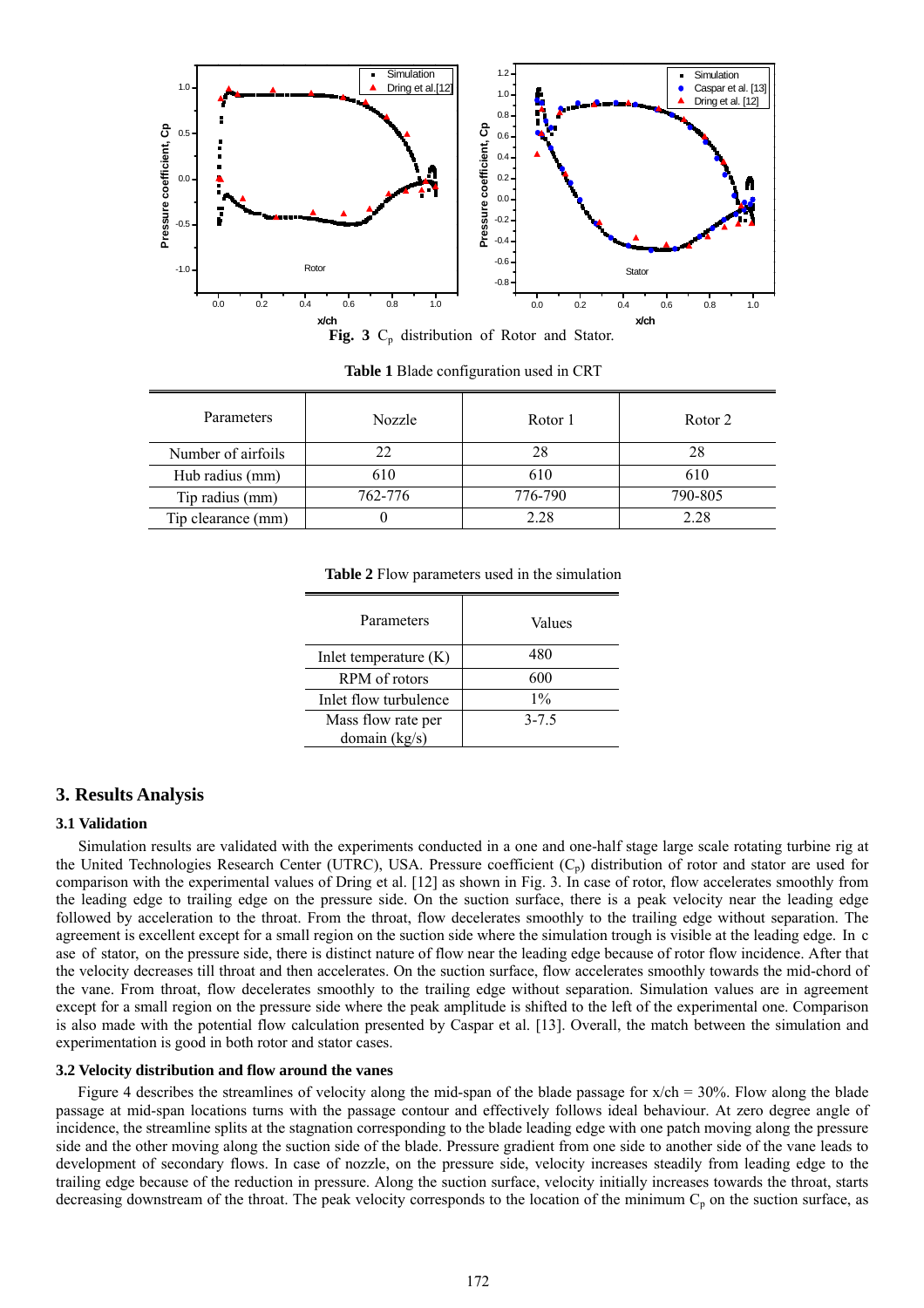

Fig. 3 C<sub>p</sub> distribution of Rotor and Stator.

**Table 1** Blade configuration used in CRT

| Parameters         | Nozzle  | Rotor 1 | Rotor 2 |
|--------------------|---------|---------|---------|
| Number of airfoils | 22      | 28      | 28      |
| Hub radius (mm)    | 610     | 610     | 610     |
| Tip radius (mm)    | 762-776 | 776-790 | 790-805 |
| Tip clearance (mm) |         | 2.28    | 2.28    |

**Table 2** Flow parameters used in the simulation

| 480<br>In let temperature $(K)$<br>600<br>RPM of rotors<br>$1\%$<br>Inlet flow turbulence<br>$3 - 7.5$<br>Mass flow rate per<br>domain $(kg/s)$ | Parameters | Values |  |
|-------------------------------------------------------------------------------------------------------------------------------------------------|------------|--------|--|
|                                                                                                                                                 |            |        |  |
|                                                                                                                                                 |            |        |  |
|                                                                                                                                                 |            |        |  |
|                                                                                                                                                 |            |        |  |
|                                                                                                                                                 |            |        |  |

## **3. Results Analysis**

#### **3.1 Validation**

Simulation results are validated with the experiments conducted in a one and one-half stage large scale rotating turbine rig at the United Technologies Research Center (UTRC), USA. Pressure coefficient  $(C_p)$  distribution of rotor and stator are used for comparison with the experimental values of Dring et al. [12] as shown in Fig. 3. In case of rotor, flow accelerates smoothly from the leading edge to trailing edge on the pressure side. On the suction surface, there is a peak velocity near the leading edge followed by acceleration to the throat. From the throat, flow decelerates smoothly to the trailing edge without separation. The agreement is excellent except for a small region on the suction side where the simulation trough is visible at the leading edge. In c ase of stator, on the pressure side, there is distinct nature of flow near the leading edge because of rotor flow incidence. After that the velocity decreases till throat and then accelerates. On the suction surface, flow accelerates smoothly towards the mid-chord of the vane. From throat, flow decelerates smoothly to the trailing edge without separation. Simulation values are in agreement except for a small region on the pressure side where the peak amplitude is shifted to the left of the experimental one. Comparison is also made with the potential flow calculation presented by Caspar et al. [13]. Overall, the match between the simulation and experimentation is good in both rotor and stator cases.

#### **3.2 Velocity distribution and flow around the vanes**

Figure 4 describes the streamlines of velocity along the mid-span of the blade passage for x/ch = 30%. Flow along the blade passage at mid-span locations turns with the passage contour and effectively follows ideal behaviour. At zero degree angle of incidence, the streamline splits at the stagnation corresponding to the blade leading edge with one patch moving along the pressure side and the other moving along the suction side of the blade. Pressure gradient from one side to another side of the vane leads to development of secondary flows. In case of nozzle, on the pressure side, velocity increases steadily from leading edge to the trailing edge because of the reduction in pressure. Along the suction surface, velocity initially increases towards the throat, starts decreasing downstream of the throat. The peak velocity corresponds to the location of the minimum  $C_p$  on the suction surface, as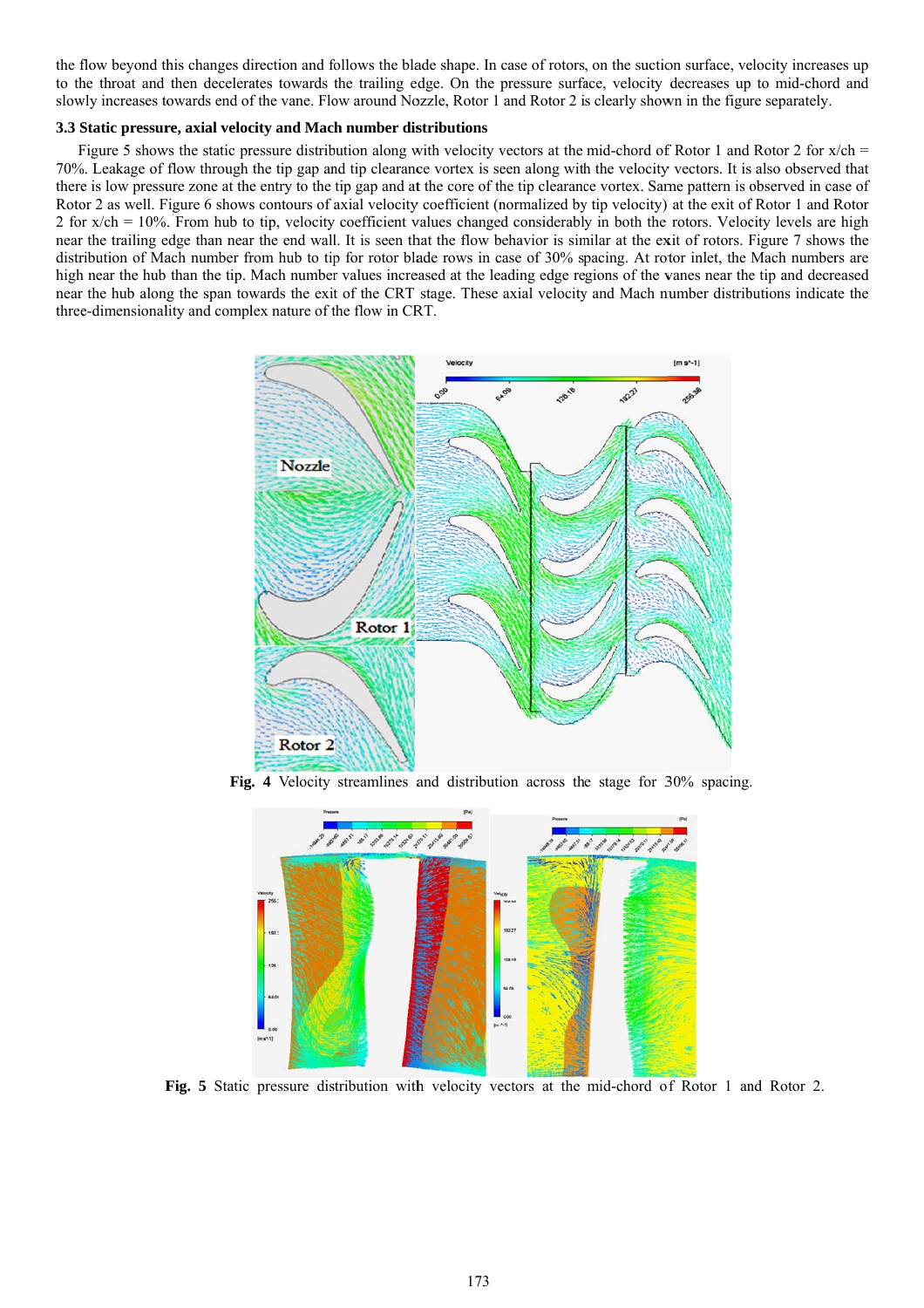the flow beyond this changes direction and follows the blade shape. In case of rotors, on the suction surface, velocity increases up to the throat and then decelerates towards the trailing edge. On the pressure surface, velocity decreases up to mid-chord and slowly increases towards end of the vane. Flow around Nozzle, Rotor 1 and Rotor 2 is clearly shown in the figure separately.

### **3.3 Static pressure, axial velocity and Mach number distributions**

Figure 5 shows the static pressure distribution along with velocity vectors at the mid-chord of Rotor 1 and Rotor 2 for  $x/ch$  = 70%. Leakage of flow through the tip gap and tip clearance vortex is seen along with the velocity vectors. It is also observed that there is low pressure zone at the entry to the tip gap and at the core of the tip clearance vortex. Same pattern is observed in case of Rotor 2 as well. Figure 6 shows contours of axial velocity coefficient (normalized by tip velocity) at the exit of Rotor 1 and Rotor 2 for  $x$ /ch = 10%. From hub to tip, velocity coefficient values changed considerably in both the rotors. Velocity levels are high near the trailing edge than near the end wall. It is seen that the flow behavior is similar at the exit of rotors. Figure 7 shows the distribution of Mach number from hub to tip for rotor blade rows in case of 30% spacing. At rotor inlet, the Mach numbers are high near the hub than the tip. Mach number values increased at the leading edge regions of the vanes near the tip and decreased near the hub along the span towards the exit of the CRT stage. These axial velocity and Mach number distributions indicate the three-dimensionality and complex nature of the flow in CRT.





**Fig. 5** Static pressure distribution with velocity vectors at the mid-chord of Rotor 1 and Rotor 2.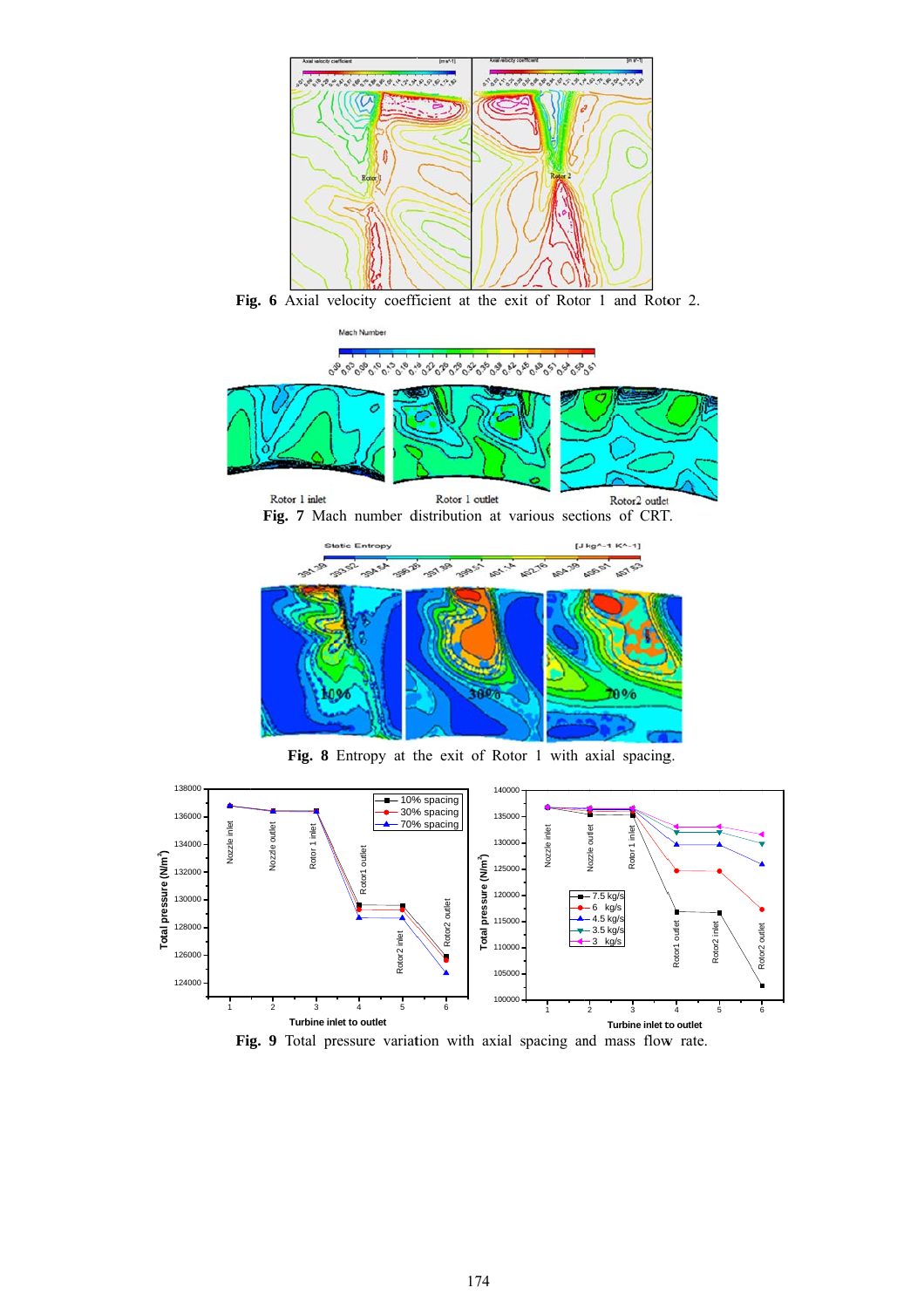

Fig. 6 Axial velocity coefficient at the exit of Rotor 1 and Rotor 2.



Fig. 8 Entropy at the exit of Rotor 1 with axial spacing.



Fig. 9 Total pressure variation with axial spacing and mass flow rate.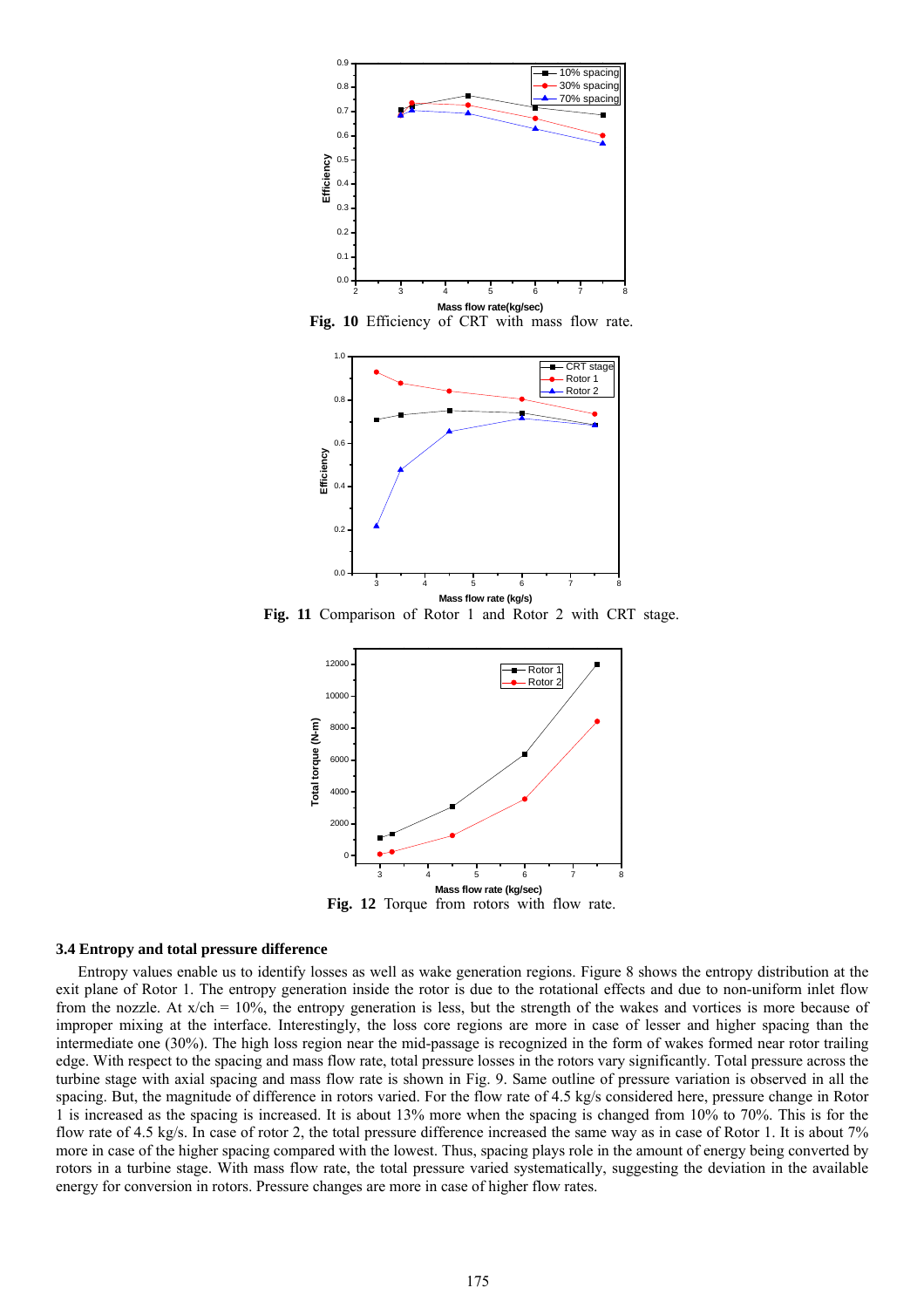

**Fig. 10** Efficiency of CRT with mass flow rate.



**Fig. 11** Comparison of Rotor 1 and Rotor 2 with CRT stage.



**Fig. 12** Torque from rotors with flow rate.

#### **3.4 Entropy and total pressure difference**

Entropy values enable us to identify losses as well as wake generation regions. Figure 8 shows the entropy distribution at the exit plane of Rotor 1. The entropy generation inside the rotor is due to the rotational effects and due to non-uniform inlet flow from the nozzle. At  $x/ch = 10\%$ , the entropy generation is less, but the strength of the wakes and vortices is more because of improper mixing at the interface. Interestingly, the loss core regions are more in case of lesser and higher spacing than the intermediate one (30%). The high loss region near the mid-passage is recognized in the form of wakes formed near rotor trailing edge. With respect to the spacing and mass flow rate, total pressure losses in the rotors vary significantly. Total pressure across the turbine stage with axial spacing and mass flow rate is shown in Fig. 9. Same outline of pressure variation is observed in all the spacing. But, the magnitude of difference in rotors varied. For the flow rate of 4.5 kg/s considered here, pressure change in Rotor 1 is increased as the spacing is increased. It is about 13% more when the spacing is changed from 10% to 70%. This is for the flow rate of 4.5 kg/s. In case of rotor 2, the total pressure difference increased the same way as in case of Rotor 1. It is about 7% more in case of the higher spacing compared with the lowest. Thus, spacing plays role in the amount of energy being converted by rotors in a turbine stage. With mass flow rate, the total pressure varied systematically, suggesting the deviation in the available energy for conversion in rotors. Pressure changes are more in case of higher flow rates.